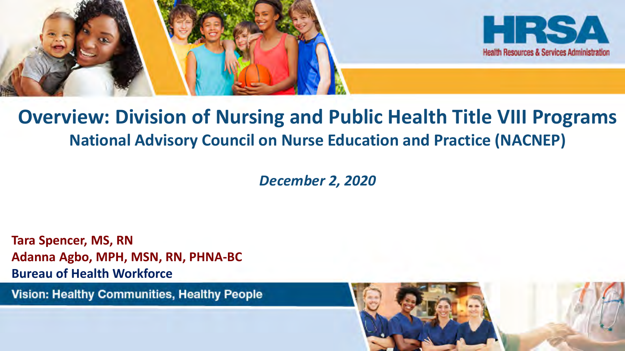



### **Overview: Division of Nursing and Public Health Title VIII Programs National Advisory Council on Nurse Education and Practice (NACNEP)**

*December 2, 2020*

**Tara Spencer, MS, RN Adanna Agbo, MPH, MSN, RN, PHNA-BC Bureau of Health Workforce**

**Vision: Healthy Communities, Healthy People** 

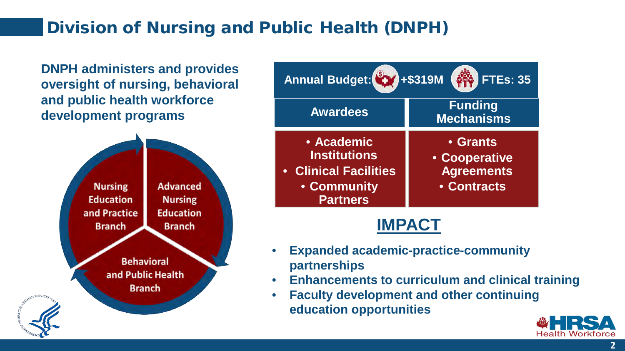### Division of Nursing and Public Health (DNPH)

**DNPH administers and provides oversight of nursing, behavioral and public health workforce development programs Awardees** 





### **IMPACT**

- **Expanded academic-practice-community partnerships**
- **Enhancements to curriculum and clinical training**
- **Faculty development and other continuing education opportunities**



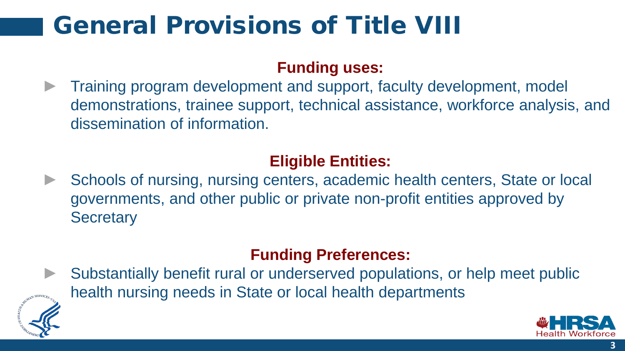## General Provisions of Title VIII

#### **Funding uses:**

Training program development and support, faculty development, model demonstrations, trainee support, technical assistance, workforce analysis, and dissemination of information.

### **Eligible Entities:**

Schools of nursing, nursing centers, academic health centers, State or local governments, and other public or private non-profit entities approved by **Secretary** 

#### **Funding Preferences:**

Substantially benefit rural or underserved populations, or help meet public health nursing needs in State or local health departments



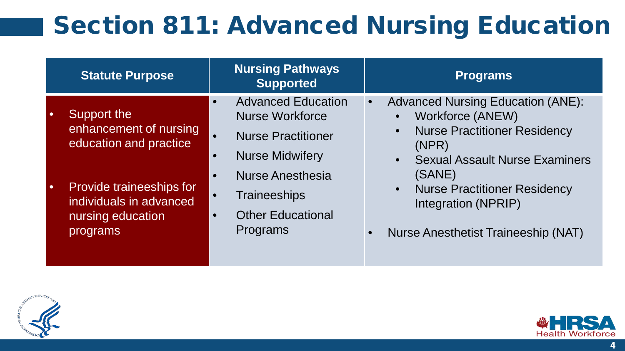## Section 811: Advanced Nursing Education

| <b>Statute Purpose</b>                                                               | <b>Nursing Pathways</b><br><b>Supported</b>                                                                                          | <b>Programs</b>                                                                                                                                                                              |
|--------------------------------------------------------------------------------------|--------------------------------------------------------------------------------------------------------------------------------------|----------------------------------------------------------------------------------------------------------------------------------------------------------------------------------------------|
| Support the<br>enhancement of nursing<br>education and practice                      | <b>Advanced Education</b><br>$\bullet$<br><b>Nurse Workforce</b><br><b>Nurse Practitioner</b><br><b>Nurse Midwifery</b><br>$\bullet$ | <b>Advanced Nursing Education (ANE):</b><br>Workforce (ANEW)<br>$\bullet$<br><b>Nurse Practitioner Residency</b><br>$\bullet$<br>(NPR)<br><b>Sexual Assault Nurse Examiners</b><br>$\bullet$ |
| Provide traineeships for<br>individuals in advanced<br>nursing education<br>programs | <b>Nurse Anesthesia</b><br><b>Traineeships</b><br><b>Other Educational</b><br>$\bullet$<br>Programs                                  | (SANE)<br><b>Nurse Practitioner Residency</b><br>$\bullet$<br>Integration (NPRIP)<br><b>Nurse Anesthetist Traineeship (NAT)</b>                                                              |



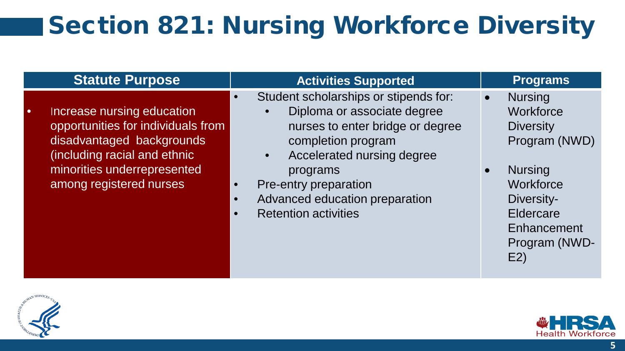## Section 821: Nursing Workforce Diversity

| <b>Statute Purpose</b>                                                                                                                                                                  | <b>Activities Supported</b>                                                                                                                                                                                                                                        | <b>Programs</b>                                                                                                                                                                            |
|-----------------------------------------------------------------------------------------------------------------------------------------------------------------------------------------|--------------------------------------------------------------------------------------------------------------------------------------------------------------------------------------------------------------------------------------------------------------------|--------------------------------------------------------------------------------------------------------------------------------------------------------------------------------------------|
| Increase nursing education<br>opportunities for individuals from<br>disadvantaged backgrounds<br>(including racial and ethnic<br>minorities underrepresented<br>among registered nurses | Student scholarships or stipends for:<br>Diploma or associate degree<br>nurses to enter bridge or degree<br>completion program<br>Accelerated nursing degree<br>programs<br>Pre-entry preparation<br>Advanced education preparation<br><b>Retention activities</b> | <b>Nursing</b><br>$\bullet$<br>Workforce<br><b>Diversity</b><br>Program (NWD)<br><b>Nursing</b><br>$\bullet$<br>Workforce<br>Diversity-<br>Eldercare<br>Enhancement<br>Program (NWD-<br>E2 |



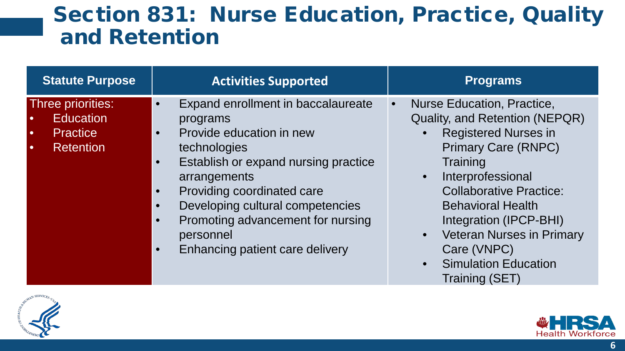## Section 831: Nurse Education, Practice, Quality and Retention

| <b>Statute Purpose</b>                                                                                 | <b>Activities Supported</b>                                                                                                                                                                                                                                                                                                                                                                          | <b>Programs</b>                                                                                                                                                                                                                                                                                                                                                                               |
|--------------------------------------------------------------------------------------------------------|------------------------------------------------------------------------------------------------------------------------------------------------------------------------------------------------------------------------------------------------------------------------------------------------------------------------------------------------------------------------------------------------------|-----------------------------------------------------------------------------------------------------------------------------------------------------------------------------------------------------------------------------------------------------------------------------------------------------------------------------------------------------------------------------------------------|
| Three priorities:<br><b>Education</b><br><b>Practice</b><br>$\bullet$<br><b>Retention</b><br>$\bullet$ | Expand enrollment in baccalaureate<br>$\bullet$<br>programs<br>Provide education in new<br>$\bullet$<br>technologies<br>Establish or expand nursing practice<br>$\bullet$<br>arrangements<br>Providing coordinated care<br>$\bullet$<br>Developing cultural competencies<br>$\bullet$<br>Promoting advancement for nursing<br>$\bullet$<br>personnel<br>Enhancing patient care delivery<br>$\bullet$ | Nurse Education, Practice,<br>Quality, and Retention (NEPQR)<br><b>Registered Nurses in</b><br><b>Primary Care (RNPC)</b><br>Training<br>Interprofessional<br>$\bullet$<br><b>Collaborative Practice:</b><br><b>Behavioral Health</b><br>Integration (IPCP-BHI)<br><b>Veteran Nurses in Primary</b><br>$\bullet$<br>Care (VNPC)<br><b>Simulation Education</b><br>$\bullet$<br>Training (SET) |



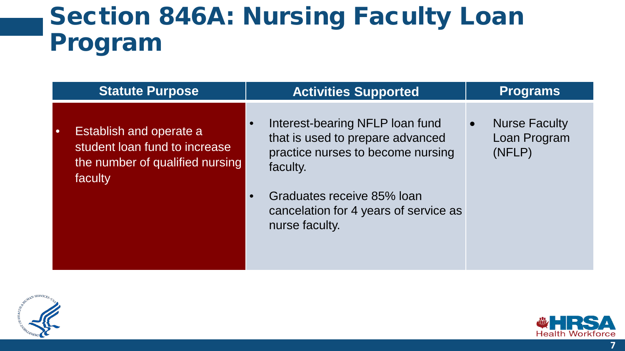## Section 846A: Nursing Faculty Loan Program

| <b>Statute Purpose</b>                                                                                                     | <b>Activities Supported</b>                                                                                                                                                                                   | <b>Programs</b>                                |
|----------------------------------------------------------------------------------------------------------------------------|---------------------------------------------------------------------------------------------------------------------------------------------------------------------------------------------------------------|------------------------------------------------|
| <b>Establish and operate a</b><br>$\bullet$<br>student loan fund to increase<br>the number of qualified nursing<br>faculty | Interest-bearing NFLP loan fund<br>that is used to prepare advanced<br>practice nurses to become nursing<br>faculty.<br>Graduates receive 85% loan<br>cancelation for 4 years of service as<br>nurse faculty. | <b>Nurse Faculty</b><br>Loan Program<br>(NFLP) |



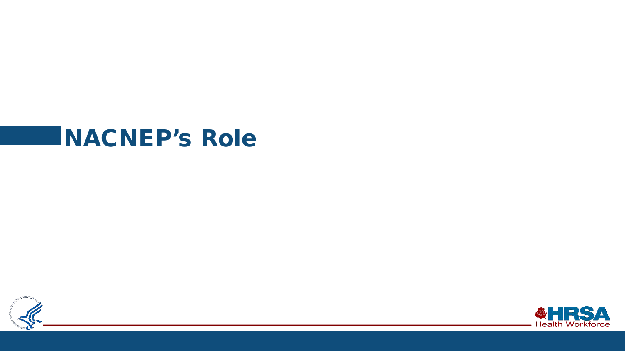## NACNEP's Role



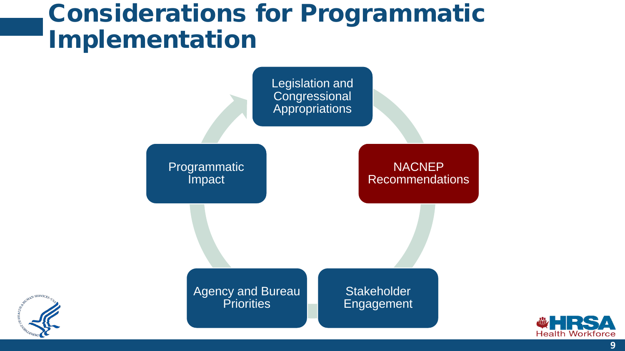## Considerations for Programmatic Implementation





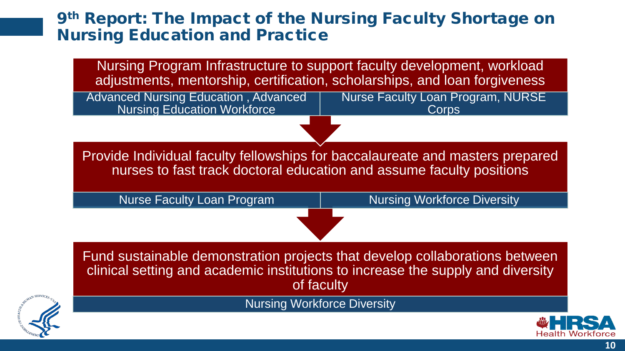#### 9th Report: The Impact of the Nursing Faculty Shortage on Nursing Education and Practice

Nursing Program Infrastructure to support faculty development, workload adjustments, mentorship, certification, scholarships, and loan forgiveness

Advanced Nursing Education , Advanced Nursing Education Workforce Nurse Faculty Loan Program, NURSE **Corps** 

Provide Individual faculty fellowships for baccalaureate and masters prepared nurses to fast track doctoral education and assume faculty positions

Nurse Faculty Loan Program | Nursing Workforce Diversity

Fund sustainable demonstration projects that develop collaborations between clinical setting and academic institutions to increase the supply and diversity of faculty

Nursing Workforce Diversity

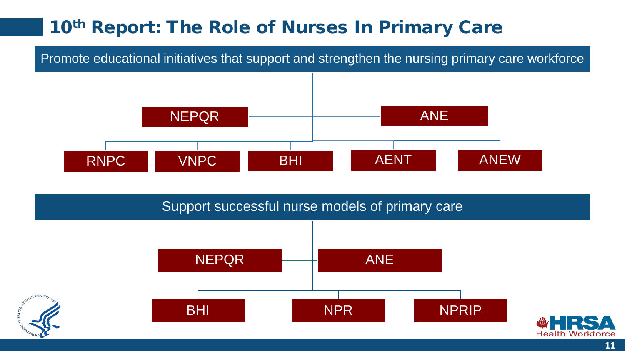### 10<sup>th</sup> Report: The Role of Nurses In Primary Care

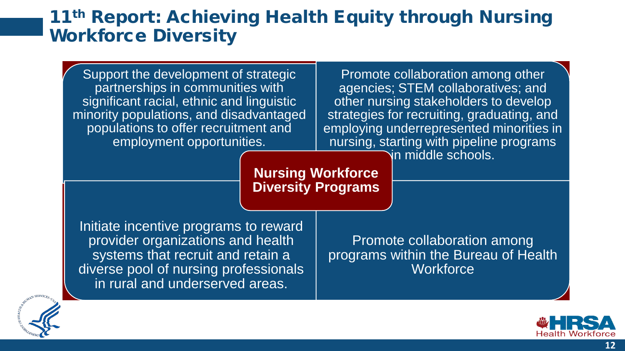### 11<sup>th</sup> Report: Achieving Health Equity through Nursing Workforce Diversity





**12**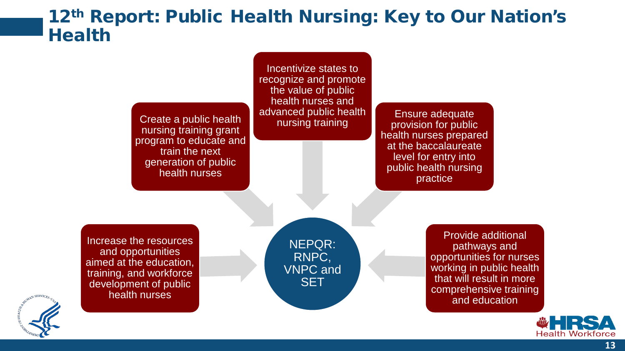#### 12<sup>th</sup> Report: Public Health Nursing: Key to Our Nation's **Health**

Create a public health nursing training grant program to educate and train the next generation of public health nurses

Incentivize states to recognize and promote the value of public health nurses and advanced public health

nursing training Ensure adequate provision for public health nurses prepared at the baccalaureate level for entry into public health nursing practice

Increase the resources and opportunities aimed at the education, training, and workforce development of public health nurses

NEPQR: RNPC, VNPC and **SET** 

Provide additional pathways and opportunities for nurses working in public health that will result in more comprehensive training and education



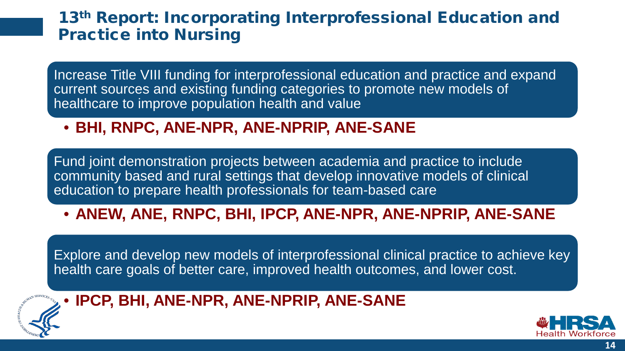#### 13<sup>th</sup> Report: Incorporating Interprofessional Education and Practice into Nursing

Increase Title VIII funding for interprofessional education and practice and expand current sources and existing funding categories to promote new models of healthcare to improve population health and value

• **BHI, RNPC, ANE-NPR, ANE-NPRIP, ANE-SANE**

Fund joint demonstration projects between academia and practice to include community based and rural settings that develop innovative models of clinical education to prepare health professionals for team-based care

• **ANEW, ANE, RNPC, BHI, IPCP, ANE-NPR, ANE-NPRIP, ANE-SANE** 

Explore and develop new models of interprofessional clinical practice to achieve key health care goals of better care, improved health outcomes, and lower cost.



• **IPCP, BHI, ANE-NPR, ANE-NPRIP, ANE-SANE** 

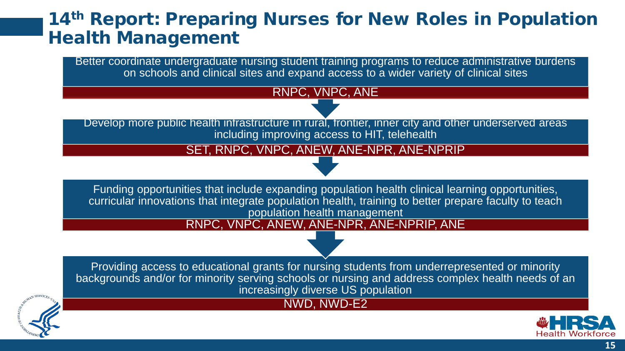### 14<sup>th</sup> Report: Preparing Nurses for New Roles in Population Health Management

Better coordinate undergraduate nursing student training programs to reduce administrative burdens on schools and clinical sites and expand access to a wider variety of clinical sites

RNPC, VNPC, ANE

Develop more public health infrastructure in rural, frontier, inner city and other underserved areas including improving access to HIT, telehealth

SET, RNPC, VNPC, ANEW, ANE-NPR, ANE-NPRIP

Funding opportunities that include expanding population health clinical learning opportunities, curricular innovations that integrate population health, training to better prepare faculty to teach population health management

RNPC, VNPC, ANEW, ANE-NPR, ANE-NPRIP, ANE

Providing access to educational grants for nursing students from underrepresented or minority backgrounds and/or for minority serving schools or nursing and address complex health needs of an increasingly diverse US population

NWD, NWD-E2



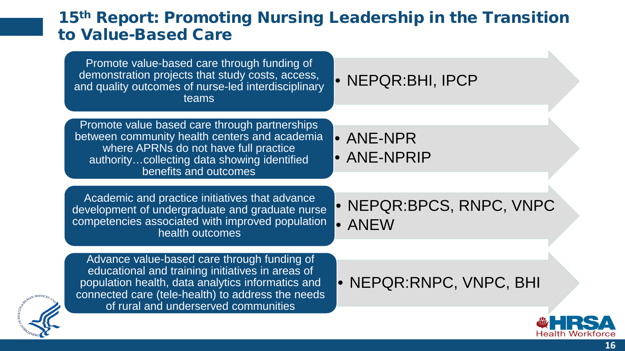#### 15th Report: Promoting Nursing Leadership in the Transition to Value-Based Care

| Promote value-based care through funding of<br>demonstration projects that study costs, access,<br>and quality outcomes of nurse-led interdisciplinary<br>teams                                                                                   | • NEPQR:BHI, IPCP                  |
|---------------------------------------------------------------------------------------------------------------------------------------------------------------------------------------------------------------------------------------------------|------------------------------------|
|                                                                                                                                                                                                                                                   |                                    |
| Promote value based care through partnerships<br>between community health centers and academia<br>where APRNs do not have full practice<br>authoritycollecting data showing identified<br>benefits and outcomes                                   | <b>• ANE-NPR</b><br>· ANE-NPRIP    |
|                                                                                                                                                                                                                                                   |                                    |
| Academic and practice initiatives that advance<br>development of undergraduate and graduate nurse<br>competencies associated with improved population<br>health outcomes                                                                          | • NEPQR:BPCS, RNPC, VNPC<br>• ANEW |
|                                                                                                                                                                                                                                                   |                                    |
| Advance value-based care through funding of<br>educational and training initiatives in areas of<br>population health, data analytics informatics and<br>connected care (tele-health) to address the needs<br>of rural and underserved communities | • NEPQR:RNPC, VNPC, BHI            |
|                                                                                                                                                                                                                                                   |                                    |
|                                                                                                                                                                                                                                                   |                                    |



Health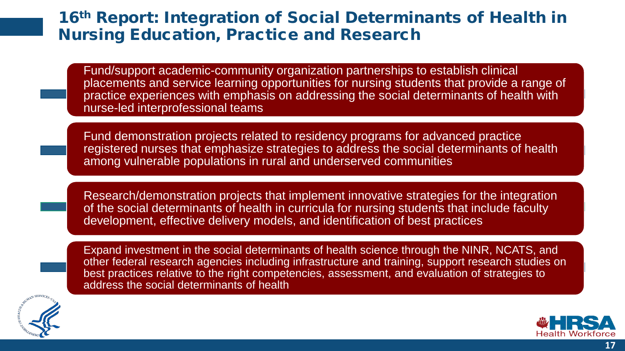#### 16<sup>th</sup> Report: Integration of Social Determinants of Health in Nursing Education, Practice and Research

Fund/support academic-community organization partnerships to establish clinical placements and service learning opportunities for nursing students that provide a range of practice experiences with emphasis on addressing the social determinants of health with nurse-led interprofessional teams

Fund demonstration projects related to residency programs for advanced practice registered nurses that emphasize strategies to address the social determinants of health among vulnerable populations in rural and underserved communities

Research/demonstration projects that implement innovative strategies for the integration of the social determinants of health in curricula for nursing students that include faculty development, effective delivery models, and identification of best practices





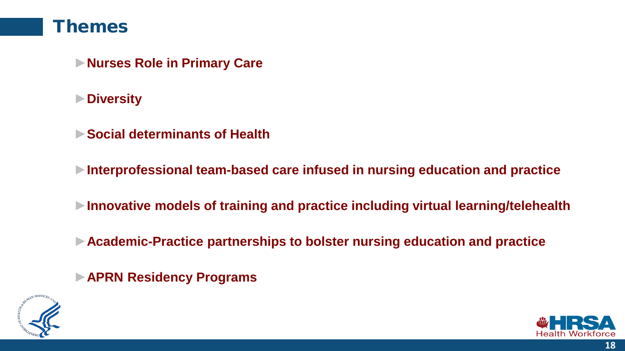#### Themes

- ►**Nurses Role in Primary Care**
- ►**Diversity**
- ►**Social determinants of Health**
- ►**Interprofessional team-based care infused in nursing education and practice**
- ►**Innovative models of training and practice including virtual learning/telehealth**
- ►**Academic-Practice partnerships to bolster nursing education and practice**
- ►**APRN Residency Programs**



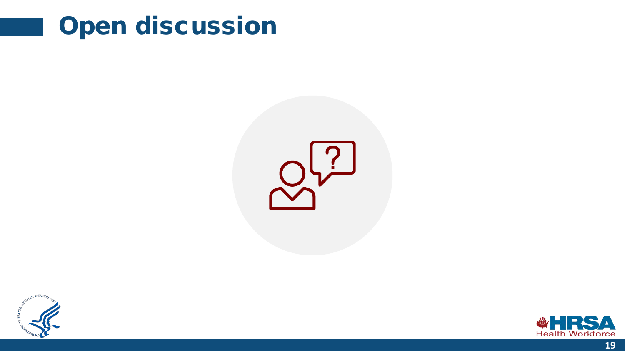





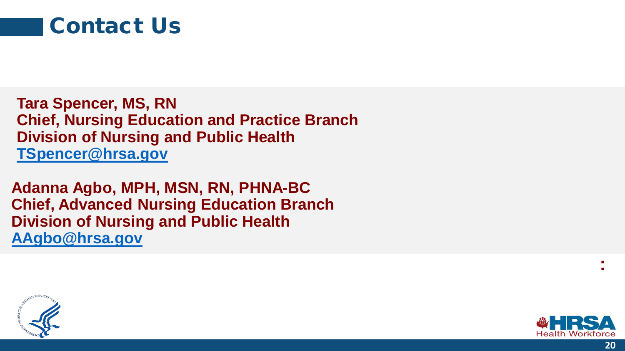

**Tara Spencer, MS, RN Chief, Nursing Education and Practice Branch Division of Nursing and Public Health [TSpencer@hrsa.gov](mailto:TSpencer@hrsa.gov)**

**Adanna Agbo, MPH, MSN, RN, PHNA-BC Chief, Advanced Nursing Education Branch Division of Nursing and Public Health [AAgbo@hrsa.gov](mailto:AAgbo@hrsa.gov)**





**:**